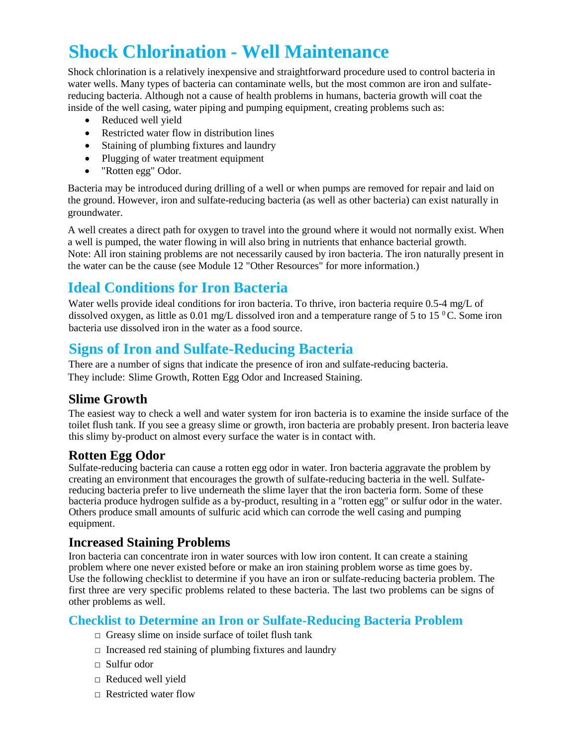# **Shock Chlorination - Well Maintenance**

Shock chlorination is a relatively inexpensive and straightforward procedure used to control bacteria in water wells. Many types of bacteria can contaminate wells, but the most common are iron and sulfatereducing bacteria. Although not a cause of health problems in humans, bacteria growth will coat the inside of the well casing, water piping and pumping equipment, creating problems such as:

- Reduced well yield
- Restricted water flow in distribution lines
- Staining of plumbing fixtures and laundry
- Plugging of water treatment equipment
- "Rotten egg" Odor.

Bacteria may be introduced during drilling of a well or when pumps are removed for repair and laid on the ground. However, iron and sulfate-reducing bacteria (as well as other bacteria) can exist naturally in groundwater.

A well creates a direct path for oxygen to travel into the ground where it would not normally exist. When a well is pumped, the water flowing in will also bring in nutrients that enhance bacterial growth. Note: All iron staining problems are not necessarily caused by iron bacteria. The iron naturally present in the water can be the cause (see Module 12 "Other Resources" for more information.)

## **Ideal Conditions for Iron Bacteria**

Water wells provide ideal conditions for iron bacteria. To thrive, iron bacteria require 0.5-4 mg/L of dissolved oxygen, as little as 0.01 mg/L dissolved iron and a temperature range of 5 to 15  $\rm{^0C}$ . Some iron bacteria use dissolved iron in the water as a food source.

### **Signs of Iron and Sulfate-Reducing Bacteria**

There are a number of signs that indicate the presence of iron and sulfate-reducing bacteria. They include: Slime Growth, Rotten Egg Odor and Increased Staining.

#### **Slime Growth**

The easiest way to check a well and water system for iron bacteria is to examine the inside surface of the toilet flush tank. If you see a greasy slime or growth, iron bacteria are probably present. Iron bacteria leave this slimy by-product on almost every surface the water is in contact with.

#### **Rotten Egg Odor**

Sulfate-reducing bacteria can cause a rotten egg odor in water. Iron bacteria aggravate the problem by creating an environment that encourages the growth of sulfate-reducing bacteria in the well. Sulfatereducing bacteria prefer to live underneath the slime layer that the iron bacteria form. Some of these bacteria produce hydrogen sulfide as a by-product, resulting in a "rotten egg" or sulfur odor in the water. Others produce small amounts of sulfuric acid which can corrode the well casing and pumping equipment.

#### **Increased Staining Problems**

Iron bacteria can concentrate iron in water sources with low iron content. It can create a staining problem where one never existed before or make an iron staining problem worse as time goes by. Use the following checklist to determine if you have an iron or sulfate-reducing bacteria problem. The first three are very specific problems related to these bacteria. The last two problems can be signs of other problems as well.

#### **Checklist to Determine an Iron or Sulfate-Reducing Bacteria Problem**

- $\Box$  Greasy slime on inside surface of toilet flush tank
- $\Box$  Increased red staining of plumbing fixtures and laundry
- □ Sulfur odor
- □ Reduced well yield
- □ Restricted water flow